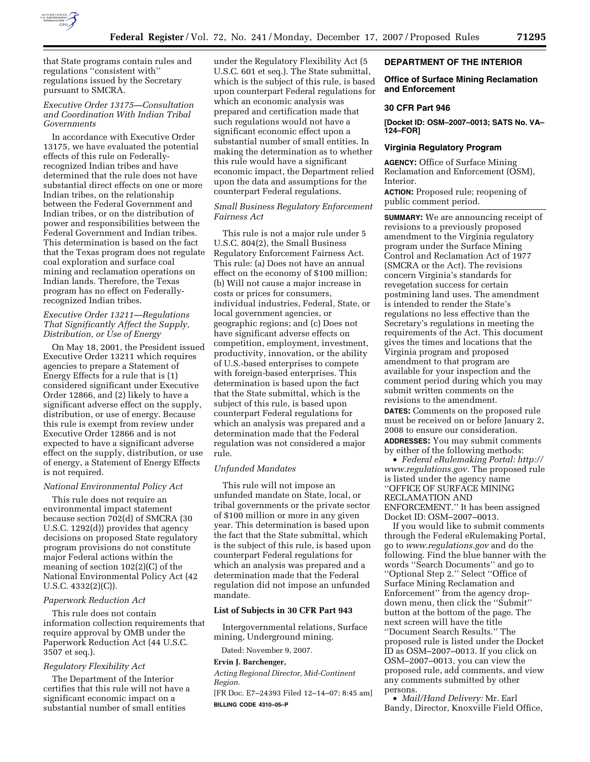

that State programs contain rules and regulations ''consistent with'' regulations issued by the Secretary pursuant to SMCRA.

# *Executive Order 13175—Consultation and Coordination With Indian Tribal Governments*

In accordance with Executive Order 13175, we have evaluated the potential effects of this rule on Federallyrecognized Indian tribes and have determined that the rule does not have substantial direct effects on one or more Indian tribes, on the relationship between the Federal Government and Indian tribes, or on the distribution of power and responsibilities between the Federal Government and Indian tribes. This determination is based on the fact that the Texas program does not regulate coal exploration and surface coal mining and reclamation operations on Indian lands. Therefore, the Texas program has no effect on Federallyrecognized Indian tribes.

## *Executive Order 13211—Regulations That Significantly Affect the Supply, Distribution, or Use of Energy*

On May 18, 2001, the President issued Executive Order 13211 which requires agencies to prepare a Statement of Energy Effects for a rule that is (1) considered significant under Executive Order 12866, and (2) likely to have a significant adverse effect on the supply, distribution, or use of energy. Because this rule is exempt from review under Executive Order 12866 and is not expected to have a significant adverse effect on the supply, distribution, or use of energy, a Statement of Energy Effects is not required.

## *National Environmental Policy Act*

This rule does not require an environmental impact statement because section 702(d) of SMCRA (30 U.S.C. 1292(d)) provides that agency decisions on proposed State regulatory program provisions do not constitute major Federal actions within the meaning of section 102(2)(C) of the National Environmental Policy Act (42 U.S.C. 4332(2)(C)).

#### *Paperwork Reduction Act*

This rule does not contain information collection requirements that require approval by OMB under the Paperwork Reduction Act (44 U.S.C. 3507 et seq.).

# *Regulatory Flexibility Act*

The Department of the Interior certifies that this rule will not have a significant economic impact on a substantial number of small entities

under the Regulatory Flexibility Act (5 U.S.C. 601 et seq.). The State submittal, which is the subject of this rule, is based upon counterpart Federal regulations for which an economic analysis was prepared and certification made that such regulations would not have a significant economic effect upon a substantial number of small entities. In making the determination as to whether this rule would have a significant economic impact, the Department relied upon the data and assumptions for the counterpart Federal regulations.

# *Small Business Regulatory Enforcement Fairness Act*

This rule is not a major rule under 5 U.S.C. 804(2), the Small Business Regulatory Enforcement Fairness Act. This rule: (a) Does not have an annual effect on the economy of \$100 million; (b) Will not cause a major increase in costs or prices for consumers, individual industries, Federal, State, or local government agencies, or geographic regions; and (c) Does not have significant adverse effects on competition, employment, investment, productivity, innovation, or the ability of U.S.-based enterprises to compete with foreign-based enterprises. This determination is based upon the fact that the State submittal, which is the subject of this rule, is based upon counterpart Federal regulations for which an analysis was prepared and a determination made that the Federal regulation was not considered a major rule.

# *Unfunded Mandates*

This rule will not impose an unfunded mandate on State, local, or tribal governments or the private sector of \$100 million or more in any given year. This determination is based upon the fact that the State submittal, which is the subject of this rule, is based upon counterpart Federal regulations for which an analysis was prepared and a determination made that the Federal regulation did not impose an unfunded mandate.

#### **List of Subjects in 30 CFR Part 943**

Intergovernmental relations, Surface mining, Underground mining.

Dated: November 9, 2007.

## **Ervin J. Barchenger,**

*Acting Regional Director, Mid-Continent Region.* 

[FR Doc. E7–24393 Filed 12–14–07; 8:45 am] **BILLING CODE 4310–05–P** 

### **DEPARTMENT OF THE INTERIOR**

# **Office of Surface Mining Reclamation and Enforcement**

### **30 CFR Part 946**

**[Docket ID: OSM–2007–0013; SATS No. VA– 124–FOR]** 

### **Virginia Regulatory Program**

**AGENCY:** Office of Surface Mining Reclamation and Enforcement (OSM), Interior.

**ACTION:** Proposed rule; reopening of public comment period.

**SUMMARY:** We are announcing receipt of revisions to a previously proposed amendment to the Virginia regulatory program under the Surface Mining Control and Reclamation Act of 1977 (SMCRA or the Act). The revisions concern Virginia's standards for revegetation success for certain postmining land uses. The amendment is intended to render the State's regulations no less effective than the Secretary's regulations in meeting the requirements of the Act. This document gives the times and locations that the Virginia program and proposed amendment to that program are available for your inspection and the comment period during which you may submit written comments on the revisions to the amendment.

**DATES:** Comments on the proposed rule must be received on or before January 2, 2008 to ensure our consideration.

**ADDRESSES:** You may submit comments by either of the following methods:

• *Federal eRulemaking Portal: http:// www.regulations.gov.* The proposed rule is listed under the agency name ''OFFICE OF SURFACE MINING RECLAMATION AND ENFORCEMENT.'' It has been assigned Docket ID: OSM–2007–0013.

If you would like to submit comments through the Federal eRulemaking Portal, go to *www.regulations.gov* and do the following. Find the blue banner with the words ''Search Documents'' and go to ''Optional Step 2.'' Select ''Office of Surface Mining Reclamation and Enforcement'' from the agency dropdown menu, then click the ''Submit'' button at the bottom of the page. The next screen will have the title ''Document Search Results.'' The proposed rule is listed under the Docket ID as OSM–2007–0013. If you click on OSM–2007–0013, you can view the proposed rule, add comments, and view any comments submitted by other persons.

• *Mail/Hand Delivery:* Mr. Earl Bandy, Director, Knoxville Field Office,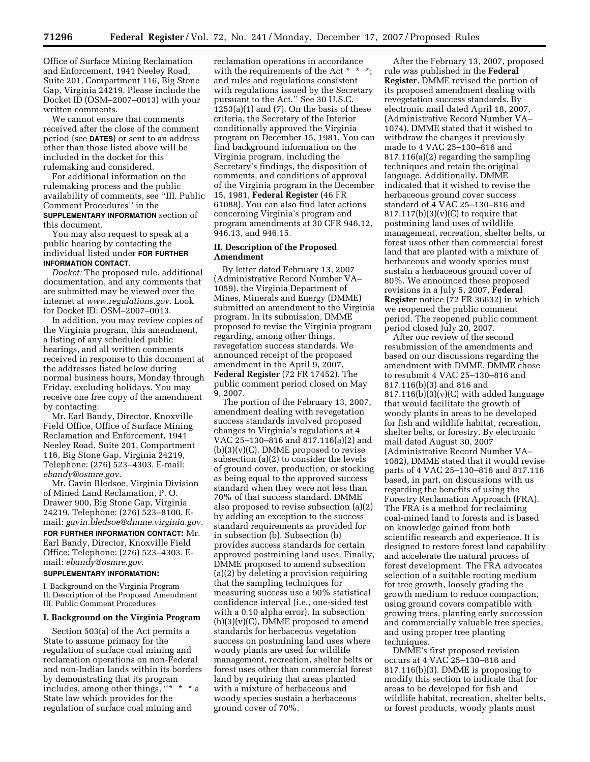Office of Surface Mining Reclamation and Enforcement, 1941 Neeley Road, Suite 201, Compartment 116, Big Stone Gap, Virginia 24219. Please include the Docket ID (OSM–2007–0013) with your written comments.

We cannot ensure that comments received after the close of the comment period (see **DATES**) or sent to an address other than those listed above will be included in the docket for this rulemaking and considered.

For additional information on the rulemaking process and the public availability of comments, see ''III. Public Comment Procedures'' in the **SUPPLEMENTARY INFORMATION** section of this document.

You may also request to speak at a public hearing by contacting the individual listed under **FOR FURTHER INFORMATION CONTACT**.

*Docket:* The proposed rule, additional documentation, and any comments that are submitted may be viewed over the internet at *www.regulations.gov.* Look for Docket ID: OSM–2007–0013.

In addition, you may review copies of the Virginia program, this amendment, a listing of any scheduled public hearings, and all written comments received in response to this document at the addresses listed below during normal business hours, Monday through Friday, excluding holidays. You may receive one free copy of the amendment by contacting:

Mr. Earl Bandy, Director, Knoxville Field Office, Office of Surface Mining Reclamation and Enforcement, 1941 Neeley Road, Suite 201, Compartment 116, Big Stone Gap, Virginia 24219, Telephone: (276) 523–4303. E-mail: *ebandy@osmre.gov.* 

Mr. Gavin Bledsoe, Virginia Division of Mined Land Reclamation, P. O. Drawer 900, Big Stone Gap, Virginia 24219, Telephone: (276) 523–8100. Email: *gavin.bledsoe@dmme.virginia.gov.* 

**FOR FURTHER INFORMATION CONTACT:** Mr. Earl Bandy, Director, Knoxville Field Office; Telephone: (276) 523–4303. Email: *ebandy@osmre.gov.* 

### **SUPPLEMENTARY INFORMATION:**

I. Background on the Virginia Program II. Description of the Proposed Amendment III. Public Comment Procedures

## **I. Background on the Virginia Program**

Section 503(a) of the Act permits a State to assume primacy for the regulation of surface coal mining and reclamation operations on non-Federal and non-Indian lands within its borders by demonstrating that its program includes, among other things, ''\* \* \* a State law which provides for the regulation of surface coal mining and

reclamation operations in accordance with the requirements of the Act \* \* \*; and rules and regulations consistent with regulations issued by the Secretary pursuant to the Act.'' See 30 U.S.C.  $1253(a)(1)$  and  $(7)$ . On the basis of these criteria, the Secretary of the Interior conditionally approved the Virginia program on December 15, 1981. You can find background information on the Virginia program, including the Secretary's findings, the disposition of comments, and conditions of approval of the Virginia program in the December 15, 1981, **Federal Register** (46 FR 61088). You can also find later actions concerning Virginia's program and program amendments at 30 CFR 946.12, 946.13, and 946.15.

# **II. Description of the Proposed Amendment**

By letter dated February 13, 2007 (Administrative Record Number VA– 1059), the Virginia Department of Mines, Minerals and Energy (DMME) submitted an amendment to the Virginia program. In its submission, DMME proposed to revise the Virginia program regarding, among other things, revegetation success standards. We announced receipt of the proposed amendment in the April 9, 2007, **Federal Register** (72 FR 17452). The public comment period closed on May 9, 2007.

The portion of the February 13, 2007, amendment dealing with revegetation success standards involved proposed changes to Virginia's regulations at 4 VAC 25–130–816 and 817.116(a)(2) and  $(b)(3)(v)(C)$ . DMME proposed to revise subsection (a)(2) to consider the levels of ground cover, production, or stocking as being equal to the approved success standard when they were not less than 70% of that success standard. DMME also proposed to revise subsection (a)(2) by adding an exception to the success standard requirements as provided for in subsection (b). Subsection (b) provides success standards for certain approved postmining land uses. Finally, DMME proposed to amend subsection (a)(2) by deleting a provision requiring that the sampling techniques for measuring success use a 90% statistical confidence interval (i.e., one-sided test with a 0.10 alpha error). In subsection  $(b)(3)(v)(C)$ , DMME proposed to amend standards for herbaceous vegetation success on postmining land uses where woody plants are used for wildlife management, recreation, shelter belts or forest uses other than commercial forest land by requiring that areas planted with a mixture of herbaceous and woody species sustain a herbaceous ground cover of 70%.

After the February 13, 2007, proposed rule was published in the **Federal Register**, DMME revised the portion of its proposed amendment dealing with revegetation success standards. By electronic mail dated April 18, 2007, (Administrative Record Number VA– 1074), DMME stated that it wished to withdraw the changes it previously made to 4 VAC 25–130–816 and 817.116(a)(2) regarding the sampling techniques and retain the original language. Additionally, DMME indicated that it wished to revise the herbaceous ground cover success standard of 4 VAC 25–130–816 and  $817.117(b)(3)(v)(C)$  to require that postmining land uses of wildlife management, recreation, shelter belts, or forest uses other than commercial forest land that are planted with a mixture of herbaceous and woody species must sustain a herbaceous ground cover of 80%. We announced these proposed revisions in a July 5, 2007, **Federal Register** notice (72 FR 36632) in which we reopened the public comment period. The reopened public comment period closed July 20, 2007.

After our review of the second resubmission of the amendments and based on our discussions regarding the amendment with DMME, DMME chose to resubmit 4 VAC 25–130–816 and 817.116(b)(3) and 816 and  $817.116(b)(3)(v)(C)$  with added language that would facilitate the growth of woody plants in areas to be developed for fish and wildlife habitat, recreation, shelter belts, or forestry. By electronic mail dated August 30, 2007 (Administrative Record Number VA– 1082), DMME stated that it would revise parts of 4 VAC 25–130–816 and 817.116 based, in part, on discussions with us regarding the benefits of using the Forestry Reclamation Approach (FRA). The FRA is a method for reclaiming coal-mined land to forests and is based on knowledge gained from both scientific research and experience. It is designed to restore forest land capability and accelerate the natural process of forest development. The FRA advocates selection of a suitable rooting medium for tree growth, loosely grading the growth medium to reduce compaction, using ground covers compatible with growing trees, planting early succession and commercially valuable tree species, and using proper tree planting techniques.

DMME's first proposed revision occurs at 4 VAC 25–130–816 and 817.116(b)(3). DMME is proposing to modify this section to indicate that for areas to be developed for fish and wildlife habitat, recreation, shelter belts, or forest products, woody plants must